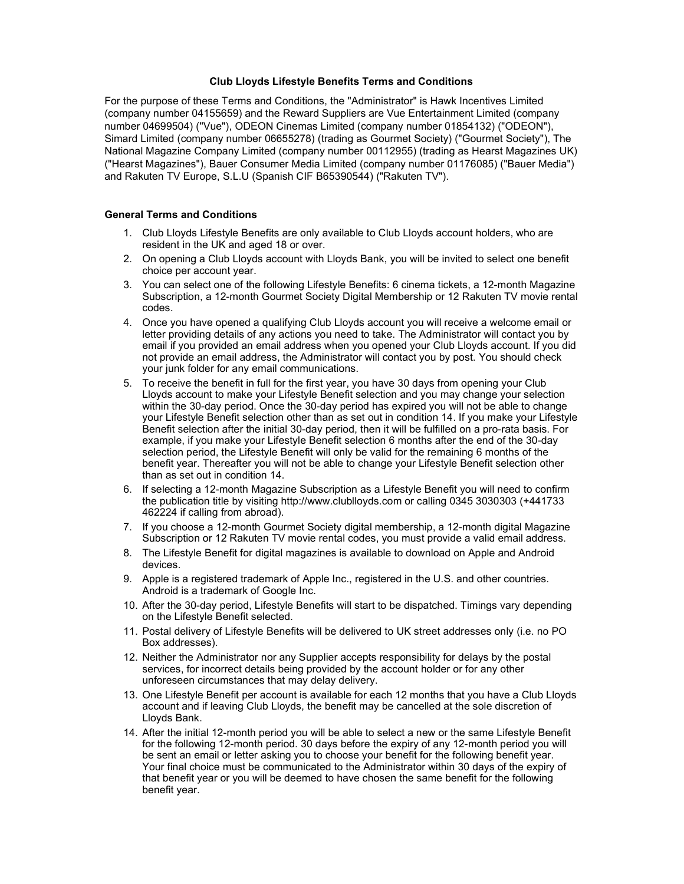## Club Lloyds Lifestyle Benefits Terms and Conditions

For the purpose of these Terms and Conditions, the "Administrator" is Hawk Incentives Limited (company number 04155659) and the Reward Suppliers are Vue Entertainment Limited (company number 04699504) ("Vue"), ODEON Cinemas Limited (company number 01854132) ("ODEON"), Simard Limited (company number 06655278) (trading as Gourmet Society) ("Gourmet Society"), The National Magazine Company Limited (company number 00112955) (trading as Hearst Magazines UK) ("Hearst Magazines"), Bauer Consumer Media Limited (company number 01176085) ("Bauer Media") and Rakuten TV Europe, S.L.U (Spanish CIF B65390544) ("Rakuten TV").

# General Terms and Conditions

- 1. Club Lloyds Lifestyle Benefits are only available to Club Lloyds account holders, who are resident in the UK and aged 18 or over.
- 2. On opening a Club Lloyds account with Lloyds Bank, you will be invited to select one benefit choice per account year.
- 3. You can select one of the following Lifestyle Benefits: 6 cinema tickets, a 12-month Magazine Subscription, a 12-month Gourmet Society Digital Membership or 12 Rakuten TV movie rental codes.
- 4. Once you have opened a qualifying Club Lloyds account you will receive a welcome email or letter providing details of any actions you need to take. The Administrator will contact you by email if you provided an email address when you opened your Club Lloyds account. If you did not provide an email address, the Administrator will contact you by post. You should check your junk folder for any email communications.
- 5. To receive the benefit in full for the first year, you have 30 days from opening your Club Lloyds account to make your Lifestyle Benefit selection and you may change your selection within the 30-day period. Once the 30-day period has expired you will not be able to change your Lifestyle Benefit selection other than as set out in condition 14. If you make your Lifestyle Benefit selection after the initial 30-day period, then it will be fulfilled on a pro-rata basis. For example, if you make your Lifestyle Benefit selection 6 months after the end of the 30-day selection period, the Lifestyle Benefit will only be valid for the remaining 6 months of the benefit year. Thereafter you will not be able to change your Lifestyle Benefit selection other than as set out in condition 14.
- 6. If selecting a 12-month Magazine Subscription as a Lifestyle Benefit you will need to confirm the publication title by visiting http://www.clublloyds.com or calling 0345 3030303 (+441733 462224 if calling from abroad).
- 7. If you choose a 12-month Gourmet Society digital membership, a 12-month digital Magazine Subscription or 12 Rakuten TV movie rental codes, you must provide a valid email address.
- 8. The Lifestyle Benefit for digital magazines is available to download on Apple and Android devices.
- 9. Apple is a registered trademark of Apple Inc., registered in the U.S. and other countries. Android is a trademark of Google Inc.
- 10. After the 30-day period, Lifestyle Benefits will start to be dispatched. Timings vary depending on the Lifestyle Benefit selected.
- 11. Postal delivery of Lifestyle Benefits will be delivered to UK street addresses only (i.e. no PO Box addresses).
- 12. Neither the Administrator nor any Supplier accepts responsibility for delays by the postal services, for incorrect details being provided by the account holder or for any other unforeseen circumstances that may delay delivery.
- 13. One Lifestyle Benefit per account is available for each 12 months that you have a Club Lloyds account and if leaving Club Lloyds, the benefit may be cancelled at the sole discretion of Lloyds Bank.
- 14. After the initial 12-month period you will be able to select a new or the same Lifestyle Benefit for the following 12-month period. 30 days before the expiry of any 12-month period you will be sent an email or letter asking you to choose your benefit for the following benefit year. Your final choice must be communicated to the Administrator within 30 days of the expiry of that benefit year or you will be deemed to have chosen the same benefit for the following benefit year.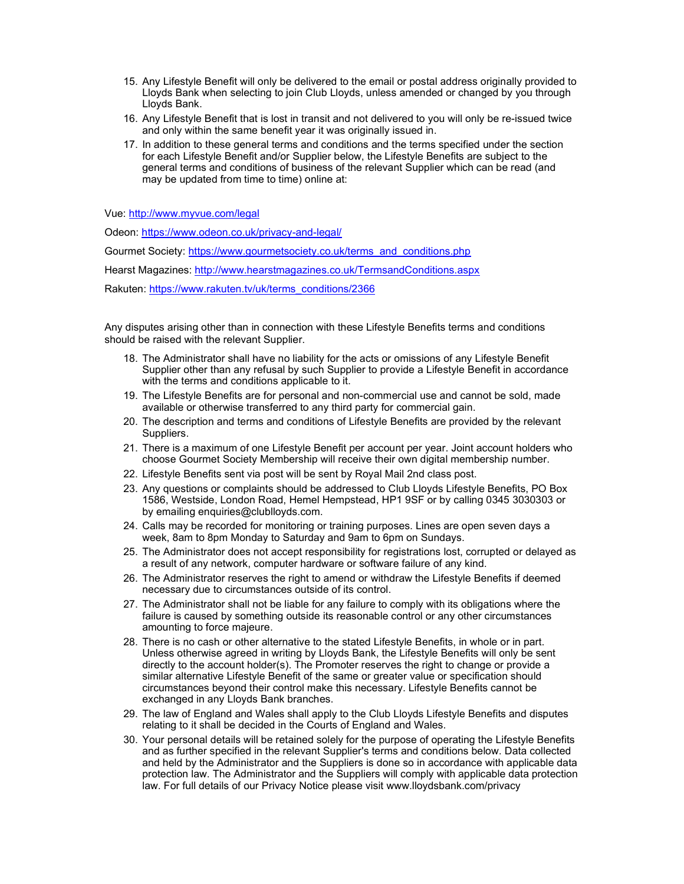- 15. Any Lifestyle Benefit will only be delivered to the email or postal address originally provided to Lloyds Bank when selecting to join Club Lloyds, unless amended or changed by you through Lloyds Bank.
- 16. Any Lifestyle Benefit that is lost in transit and not delivered to you will only be re-issued twice and only within the same benefit year it was originally issued in.
- 17. In addition to these general terms and conditions and the terms specified under the section for each Lifestyle Benefit and/or Supplier below, the Lifestyle Benefits are subject to the general terms and conditions of business of the relevant Supplier which can be read (and may be updated from time to time) online at:

Vue: http://www.myvue.com/legal

Odeon: https://www.odeon.co.uk/privacy-and-legal/

Gourmet Society: https://www.gourmetsociety.co.uk/terms\_and\_conditions.php

Hearst Magazines: http://www.hearstmagazines.co.uk/TermsandConditions.aspx

Rakuten: https://www.rakuten.tv/uk/terms\_conditions/2366

Any disputes arising other than in connection with these Lifestyle Benefits terms and conditions should be raised with the relevant Supplier.

- 18. The Administrator shall have no liability for the acts or omissions of any Lifestyle Benefit Supplier other than any refusal by such Supplier to provide a Lifestyle Benefit in accordance with the terms and conditions applicable to it.
- 19. The Lifestyle Benefits are for personal and non-commercial use and cannot be sold, made available or otherwise transferred to any third party for commercial gain.
- 20. The description and terms and conditions of Lifestyle Benefits are provided by the relevant Suppliers.
- 21. There is a maximum of one Lifestyle Benefit per account per year. Joint account holders who choose Gourmet Society Membership will receive their own digital membership number.
- 22. Lifestyle Benefits sent via post will be sent by Royal Mail 2nd class post.
- 23. Any questions or complaints should be addressed to Club Lloyds Lifestyle Benefits, PO Box 1586, Westside, London Road, Hemel Hempstead, HP1 9SF or by calling 0345 3030303 or by emailing enquiries@clublloyds.com.
- 24. Calls may be recorded for monitoring or training purposes. Lines are open seven days a week, 8am to 8pm Monday to Saturday and 9am to 6pm on Sundays.
- 25. The Administrator does not accept responsibility for registrations lost, corrupted or delayed as a result of any network, computer hardware or software failure of any kind.
- 26. The Administrator reserves the right to amend or withdraw the Lifestyle Benefits if deemed necessary due to circumstances outside of its control.
- 27. The Administrator shall not be liable for any failure to comply with its obligations where the failure is caused by something outside its reasonable control or any other circumstances amounting to force majeure.
- 28. There is no cash or other alternative to the stated Lifestyle Benefits, in whole or in part. Unless otherwise agreed in writing by Lloyds Bank, the Lifestyle Benefits will only be sent directly to the account holder(s). The Promoter reserves the right to change or provide a similar alternative Lifestyle Benefit of the same or greater value or specification should circumstances beyond their control make this necessary. Lifestyle Benefits cannot be exchanged in any Lloyds Bank branches.
- 29. The law of England and Wales shall apply to the Club Lloyds Lifestyle Benefits and disputes relating to it shall be decided in the Courts of England and Wales.
- 30. Your personal details will be retained solely for the purpose of operating the Lifestyle Benefits and as further specified in the relevant Supplier's terms and conditions below. Data collected and held by the Administrator and the Suppliers is done so in accordance with applicable data protection law. The Administrator and the Suppliers will comply with applicable data protection law. For full details of our Privacy Notice please visit www.lloydsbank.com/privacy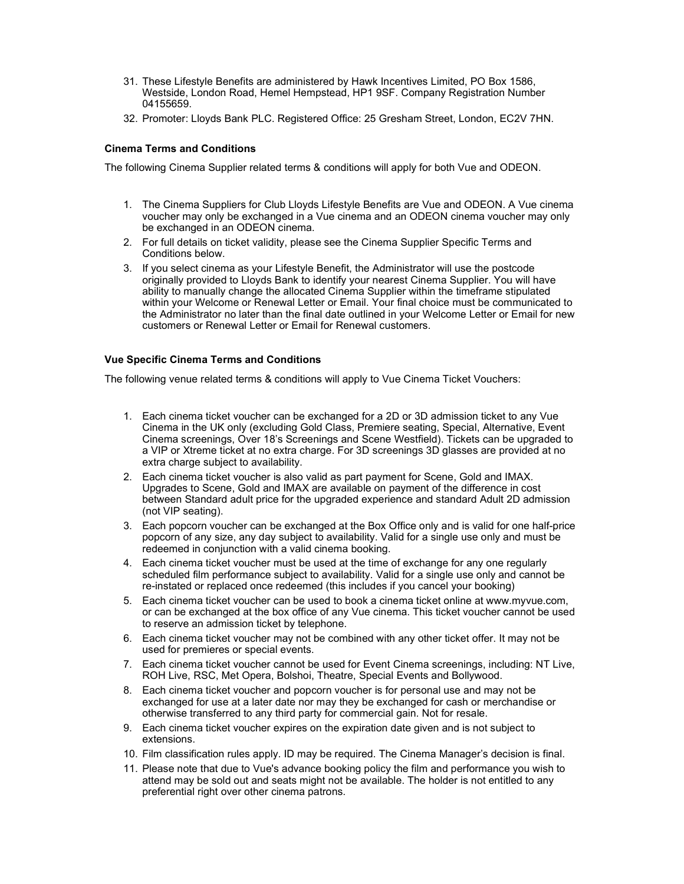- 31. These Lifestyle Benefits are administered by Hawk Incentives Limited, PO Box 1586, Westside, London Road, Hemel Hempstead, HP1 9SF. Company Registration Number 04155659.
- 32. Promoter: Lloyds Bank PLC. Registered Office: 25 Gresham Street, London, EC2V 7HN.

# Cinema Terms and Conditions

The following Cinema Supplier related terms & conditions will apply for both Vue and ODEON.

- 1. The Cinema Suppliers for Club Lloyds Lifestyle Benefits are Vue and ODEON. A Vue cinema voucher may only be exchanged in a Vue cinema and an ODEON cinema voucher may only be exchanged in an ODEON cinema.
- 2. For full details on ticket validity, please see the Cinema Supplier Specific Terms and Conditions below.
- 3. If you select cinema as your Lifestyle Benefit, the Administrator will use the postcode originally provided to Lloyds Bank to identify your nearest Cinema Supplier. You will have ability to manually change the allocated Cinema Supplier within the timeframe stipulated within your Welcome or Renewal Letter or Email. Your final choice must be communicated to the Administrator no later than the final date outlined in your Welcome Letter or Email for new customers or Renewal Letter or Email for Renewal customers.

# Vue Specific Cinema Terms and Conditions

The following venue related terms & conditions will apply to Vue Cinema Ticket Vouchers:

- 1. Each cinema ticket voucher can be exchanged for a 2D or 3D admission ticket to any Vue Cinema in the UK only (excluding Gold Class, Premiere seating, Special, Alternative, Event Cinema screenings, Over 18's Screenings and Scene Westfield). Tickets can be upgraded to a VIP or Xtreme ticket at no extra charge. For 3D screenings 3D glasses are provided at no extra charge subject to availability.
- 2. Each cinema ticket voucher is also valid as part payment for Scene, Gold and IMAX. Upgrades to Scene, Gold and IMAX are available on payment of the difference in cost between Standard adult price for the upgraded experience and standard Adult 2D admission (not VIP seating).
- 3. Each popcorn voucher can be exchanged at the Box Office only and is valid for one half-price popcorn of any size, any day subject to availability. Valid for a single use only and must be redeemed in conjunction with a valid cinema booking.
- 4. Each cinema ticket voucher must be used at the time of exchange for any one regularly scheduled film performance subject to availability. Valid for a single use only and cannot be re-instated or replaced once redeemed (this includes if you cancel your booking)
- 5. Each cinema ticket voucher can be used to book a cinema ticket online at www.myvue.com, or can be exchanged at the box office of any Vue cinema. This ticket voucher cannot be used to reserve an admission ticket by telephone.
- 6. Each cinema ticket voucher may not be combined with any other ticket offer. It may not be used for premieres or special events.
- 7. Each cinema ticket voucher cannot be used for Event Cinema screenings, including: NT Live, ROH Live, RSC, Met Opera, Bolshoi, Theatre, Special Events and Bollywood.
- 8. Each cinema ticket voucher and popcorn voucher is for personal use and may not be exchanged for use at a later date nor may they be exchanged for cash or merchandise or otherwise transferred to any third party for commercial gain. Not for resale.
- 9. Each cinema ticket voucher expires on the expiration date given and is not subject to extensions.
- 10. Film classification rules apply. ID may be required. The Cinema Manager's decision is final.
- 11. Please note that due to Vue's advance booking policy the film and performance you wish to attend may be sold out and seats might not be available. The holder is not entitled to any preferential right over other cinema patrons.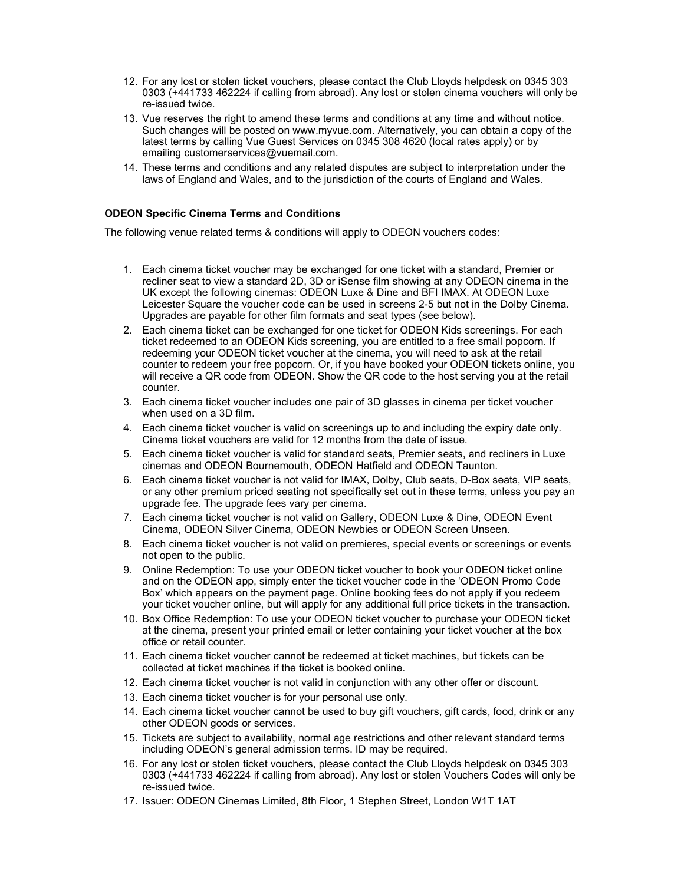- 12. For any lost or stolen ticket vouchers, please contact the Club Lloyds helpdesk on 0345 303 0303 (+441733 462224 if calling from abroad). Any lost or stolen cinema vouchers will only be re-issued twice.
- 13. Vue reserves the right to amend these terms and conditions at any time and without notice. Such changes will be posted on www.myvue.com. Alternatively, you can obtain a copy of the latest terms by calling Vue Guest Services on 0345 308 4620 (local rates apply) or by emailing customerservices@vuemail.com.
- 14. These terms and conditions and any related disputes are subject to interpretation under the laws of England and Wales, and to the jurisdiction of the courts of England and Wales.

#### ODEON Specific Cinema Terms and Conditions

The following venue related terms & conditions will apply to ODEON vouchers codes:

- 1. Each cinema ticket voucher may be exchanged for one ticket with a standard, Premier or recliner seat to view a standard 2D, 3D or iSense film showing at any ODEON cinema in the UK except the following cinemas: ODEON Luxe & Dine and BFI IMAX. At ODEON Luxe Leicester Square the voucher code can be used in screens 2-5 but not in the Dolby Cinema. Upgrades are payable for other film formats and seat types (see below).
- 2. Each cinema ticket can be exchanged for one ticket for ODEON Kids screenings. For each ticket redeemed to an ODEON Kids screening, you are entitled to a free small popcorn. If redeeming your ODEON ticket voucher at the cinema, you will need to ask at the retail counter to redeem your free popcorn. Or, if you have booked your ODEON tickets online, you will receive a QR code from ODEON. Show the QR code to the host serving you at the retail counter.
- 3. Each cinema ticket voucher includes one pair of 3D glasses in cinema per ticket voucher when used on a 3D film.
- 4. Each cinema ticket voucher is valid on screenings up to and including the expiry date only. Cinema ticket vouchers are valid for 12 months from the date of issue.
- 5. Each cinema ticket voucher is valid for standard seats, Premier seats, and recliners in Luxe cinemas and ODEON Bournemouth, ODEON Hatfield and ODEON Taunton.
- 6. Each cinema ticket voucher is not valid for IMAX, Dolby, Club seats, D-Box seats, VIP seats, or any other premium priced seating not specifically set out in these terms, unless you pay an upgrade fee. The upgrade fees vary per cinema.
- 7. Each cinema ticket voucher is not valid on Gallery, ODEON Luxe & Dine, ODEON Event Cinema, ODEON Silver Cinema, ODEON Newbies or ODEON Screen Unseen.
- 8. Each cinema ticket voucher is not valid on premieres, special events or screenings or events not open to the public.
- 9. Online Redemption: To use your ODEON ticket voucher to book your ODEON ticket online and on the ODEON app, simply enter the ticket voucher code in the 'ODEON Promo Code Box' which appears on the payment page. Online booking fees do not apply if you redeem your ticket voucher online, but will apply for any additional full price tickets in the transaction.
- 10. Box Office Redemption: To use your ODEON ticket voucher to purchase your ODEON ticket at the cinema, present your printed email or letter containing your ticket voucher at the box office or retail counter.
- 11. Each cinema ticket voucher cannot be redeemed at ticket machines, but tickets can be collected at ticket machines if the ticket is booked online.
- 12. Each cinema ticket voucher is not valid in conjunction with any other offer or discount.
- 13. Each cinema ticket voucher is for your personal use only.
- 14. Each cinema ticket voucher cannot be used to buy gift vouchers, gift cards, food, drink or any other ODEON goods or services.
- 15. Tickets are subject to availability, normal age restrictions and other relevant standard terms including ODEON's general admission terms. ID may be required.
- 16. For any lost or stolen ticket vouchers, please contact the Club Lloyds helpdesk on 0345 303 0303 (+441733 462224 if calling from abroad). Any lost or stolen Vouchers Codes will only be re-issued twice.
- 17. Issuer: ODEON Cinemas Limited, 8th Floor, 1 Stephen Street, London W1T 1AT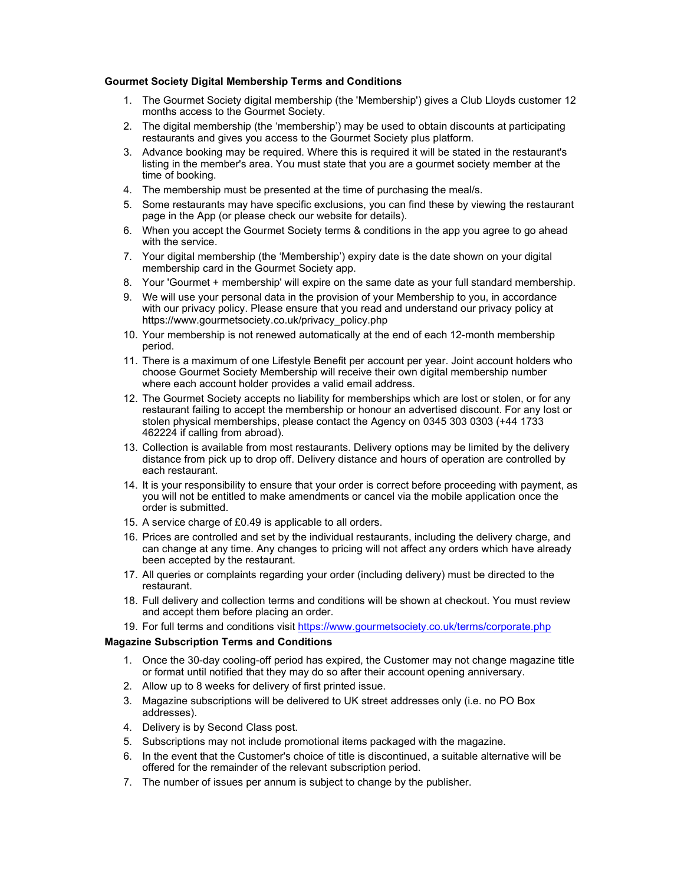# Gourmet Society Digital Membership Terms and Conditions

- 1. The Gourmet Society digital membership (the 'Membership') gives a Club Lloyds customer 12 months access to the Gourmet Society.
- 2. The digital membership (the 'membership') may be used to obtain discounts at participating restaurants and gives you access to the Gourmet Society plus platform.
- 3. Advance booking may be required. Where this is required it will be stated in the restaurant's listing in the member's area. You must state that you are a gourmet society member at the time of booking.
- 4. The membership must be presented at the time of purchasing the meal/s.
- 5. Some restaurants may have specific exclusions, you can find these by viewing the restaurant page in the App (or please check our website for details).
- 6. When you accept the Gourmet Society terms & conditions in the app you agree to go ahead with the service.
- 7. Your digital membership (the 'Membership') expiry date is the date shown on your digital membership card in the Gourmet Society app.
- 8. Your 'Gourmet + membership' will expire on the same date as your full standard membership.
- 9. We will use your personal data in the provision of your Membership to you, in accordance with our privacy policy. Please ensure that you read and understand our privacy policy at https://www.gourmetsociety.co.uk/privacy\_policy.php
- 10. Your membership is not renewed automatically at the end of each 12-month membership period.
- 11. There is a maximum of one Lifestyle Benefit per account per year. Joint account holders who choose Gourmet Society Membership will receive their own digital membership number where each account holder provides a valid email address.
- 12. The Gourmet Society accepts no liability for memberships which are lost or stolen, or for any restaurant failing to accept the membership or honour an advertised discount. For any lost or stolen physical memberships, please contact the Agency on 0345 303 0303 (+44 1733 462224 if calling from abroad).
- 13. Collection is available from most restaurants. Delivery options may be limited by the delivery distance from pick up to drop off. Delivery distance and hours of operation are controlled by each restaurant.
- 14. It is your responsibility to ensure that your order is correct before proceeding with payment, as you will not be entitled to make amendments or cancel via the mobile application once the order is submitted.
- 15. A service charge of £0.49 is applicable to all orders.
- 16. Prices are controlled and set by the individual restaurants, including the delivery charge, and can change at any time. Any changes to pricing will not affect any orders which have already been accepted by the restaurant.
- 17. All queries or complaints regarding your order (including delivery) must be directed to the restaurant.
- 18. Full delivery and collection terms and conditions will be shown at checkout. You must review and accept them before placing an order.
- 19. For full terms and conditions visit https://www.gourmetsociety.co.uk/terms/corporate.php

# Magazine Subscription Terms and Conditions

- 1. Once the 30-day cooling-off period has expired, the Customer may not change magazine title or format until notified that they may do so after their account opening anniversary.
- 2. Allow up to 8 weeks for delivery of first printed issue.
- 3. Magazine subscriptions will be delivered to UK street addresses only (i.e. no PO Box addresses).
- 4. Delivery is by Second Class post.
- 5. Subscriptions may not include promotional items packaged with the magazine.
- 6. In the event that the Customer's choice of title is discontinued, a suitable alternative will be offered for the remainder of the relevant subscription period.
- 7. The number of issues per annum is subject to change by the publisher.